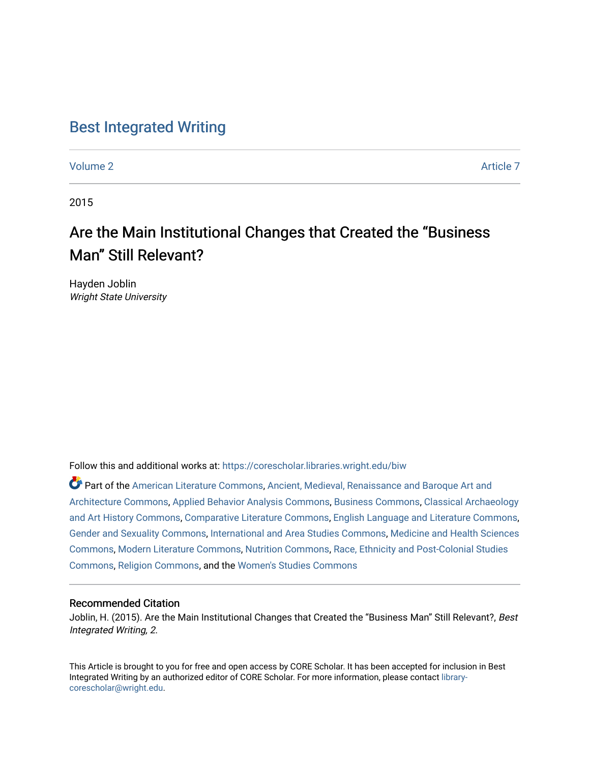### [Best Integrated Writing](https://corescholar.libraries.wright.edu/biw)

[Volume 2](https://corescholar.libraries.wright.edu/biw/vol2) Article 7

2015

# Are the Main Institutional Changes that Created the "Business Man" Still Relevant?

Hayden Joblin Wright State University

Follow this and additional works at: [https://corescholar.libraries.wright.edu/biw](https://corescholar.libraries.wright.edu/biw?utm_source=corescholar.libraries.wright.edu%2Fbiw%2Fvol2%2Fiss1%2F7&utm_medium=PDF&utm_campaign=PDFCoverPages)

Part of the [American Literature Commons](http://network.bepress.com/hgg/discipline/441?utm_source=corescholar.libraries.wright.edu%2Fbiw%2Fvol2%2Fiss1%2F7&utm_medium=PDF&utm_campaign=PDFCoverPages), [Ancient, Medieval, Renaissance and Baroque Art and](http://network.bepress.com/hgg/discipline/512?utm_source=corescholar.libraries.wright.edu%2Fbiw%2Fvol2%2Fiss1%2F7&utm_medium=PDF&utm_campaign=PDFCoverPages)  [Architecture Commons,](http://network.bepress.com/hgg/discipline/512?utm_source=corescholar.libraries.wright.edu%2Fbiw%2Fvol2%2Fiss1%2F7&utm_medium=PDF&utm_campaign=PDFCoverPages) [Applied Behavior Analysis Commons](http://network.bepress.com/hgg/discipline/1235?utm_source=corescholar.libraries.wright.edu%2Fbiw%2Fvol2%2Fiss1%2F7&utm_medium=PDF&utm_campaign=PDFCoverPages), [Business Commons,](http://network.bepress.com/hgg/discipline/622?utm_source=corescholar.libraries.wright.edu%2Fbiw%2Fvol2%2Fiss1%2F7&utm_medium=PDF&utm_campaign=PDFCoverPages) [Classical Archaeology](http://network.bepress.com/hgg/discipline/450?utm_source=corescholar.libraries.wright.edu%2Fbiw%2Fvol2%2Fiss1%2F7&utm_medium=PDF&utm_campaign=PDFCoverPages) [and Art History Commons](http://network.bepress.com/hgg/discipline/450?utm_source=corescholar.libraries.wright.edu%2Fbiw%2Fvol2%2Fiss1%2F7&utm_medium=PDF&utm_campaign=PDFCoverPages), [Comparative Literature Commons,](http://network.bepress.com/hgg/discipline/454?utm_source=corescholar.libraries.wright.edu%2Fbiw%2Fvol2%2Fiss1%2F7&utm_medium=PDF&utm_campaign=PDFCoverPages) [English Language and Literature Commons](http://network.bepress.com/hgg/discipline/455?utm_source=corescholar.libraries.wright.edu%2Fbiw%2Fvol2%2Fiss1%2F7&utm_medium=PDF&utm_campaign=PDFCoverPages), [Gender and Sexuality Commons](http://network.bepress.com/hgg/discipline/420?utm_source=corescholar.libraries.wright.edu%2Fbiw%2Fvol2%2Fiss1%2F7&utm_medium=PDF&utm_campaign=PDFCoverPages), [International and Area Studies Commons,](http://network.bepress.com/hgg/discipline/360?utm_source=corescholar.libraries.wright.edu%2Fbiw%2Fvol2%2Fiss1%2F7&utm_medium=PDF&utm_campaign=PDFCoverPages) [Medicine and Health Sciences](http://network.bepress.com/hgg/discipline/648?utm_source=corescholar.libraries.wright.edu%2Fbiw%2Fvol2%2Fiss1%2F7&utm_medium=PDF&utm_campaign=PDFCoverPages)  [Commons](http://network.bepress.com/hgg/discipline/648?utm_source=corescholar.libraries.wright.edu%2Fbiw%2Fvol2%2Fiss1%2F7&utm_medium=PDF&utm_campaign=PDFCoverPages), [Modern Literature Commons](http://network.bepress.com/hgg/discipline/1050?utm_source=corescholar.libraries.wright.edu%2Fbiw%2Fvol2%2Fiss1%2F7&utm_medium=PDF&utm_campaign=PDFCoverPages), [Nutrition Commons,](http://network.bepress.com/hgg/discipline/95?utm_source=corescholar.libraries.wright.edu%2Fbiw%2Fvol2%2Fiss1%2F7&utm_medium=PDF&utm_campaign=PDFCoverPages) [Race, Ethnicity and Post-Colonial Studies](http://network.bepress.com/hgg/discipline/566?utm_source=corescholar.libraries.wright.edu%2Fbiw%2Fvol2%2Fiss1%2F7&utm_medium=PDF&utm_campaign=PDFCoverPages)  [Commons](http://network.bepress.com/hgg/discipline/566?utm_source=corescholar.libraries.wright.edu%2Fbiw%2Fvol2%2Fiss1%2F7&utm_medium=PDF&utm_campaign=PDFCoverPages), [Religion Commons,](http://network.bepress.com/hgg/discipline/538?utm_source=corescholar.libraries.wright.edu%2Fbiw%2Fvol2%2Fiss1%2F7&utm_medium=PDF&utm_campaign=PDFCoverPages) and the [Women's Studies Commons](http://network.bepress.com/hgg/discipline/561?utm_source=corescholar.libraries.wright.edu%2Fbiw%2Fvol2%2Fiss1%2F7&utm_medium=PDF&utm_campaign=PDFCoverPages) 

#### Recommended Citation

Joblin, H. (2015). Are the Main Institutional Changes that Created the "Business Man" Still Relevant?, Best Integrated Writing, 2.

This Article is brought to you for free and open access by CORE Scholar. It has been accepted for inclusion in Best Integrated Writing by an authorized editor of CORE Scholar. For more information, please contact [library](mailto:library-corescholar@wright.edu)[corescholar@wright.edu](mailto:library-corescholar@wright.edu).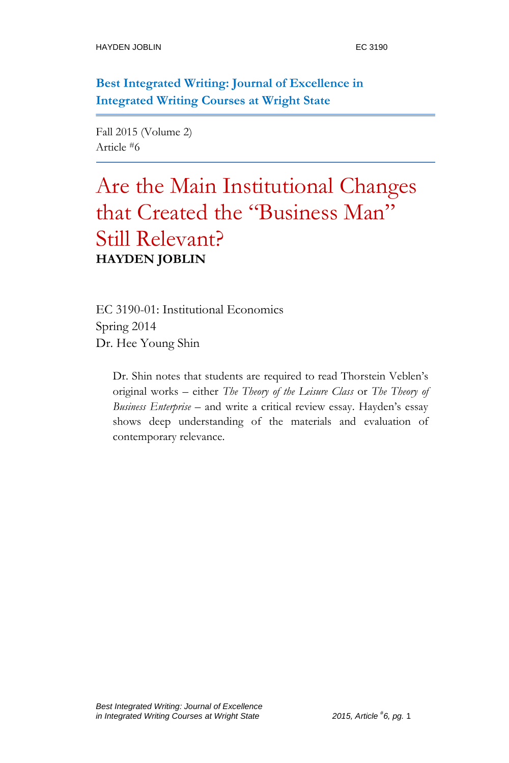**Best Integrated Writing: Journal of Excellence in Integrated Writing Courses at Wright State**

Fall 2015 (Volume 2) Article #6

## Are the Main Institutional Changes that Created the "Business Man" Still Relevant? **HAYDEN JOBLIN**

EC 3190-01: Institutional Economics Spring 2014 Dr. Hee Young Shin

Dr. Shin notes that students are required to read Thorstein Veblen's original works – either *The Theory of the Leisure Class* or *The Theory of Business Enterprise* – and write a critical review essay. Hayden's essay shows deep understanding of the materials and evaluation of contemporary relevance.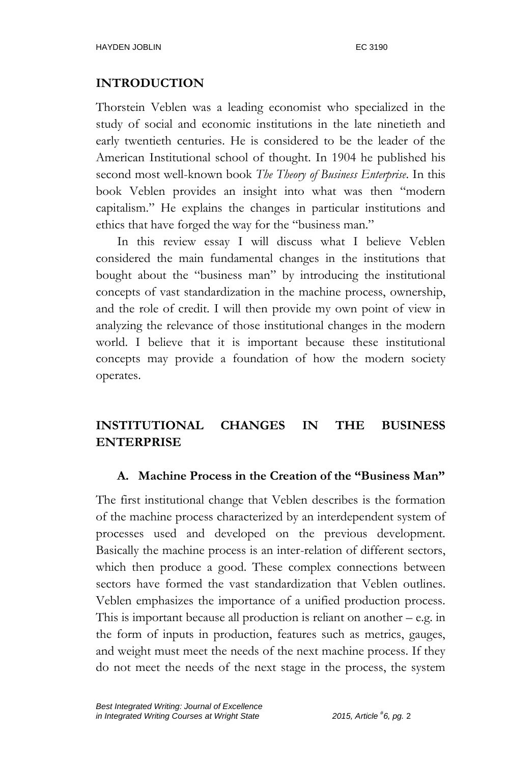#### **INTRODUCTION**

Thorstein Veblen was a leading economist who specialized in the study of social and economic institutions in the late ninetieth and early twentieth centuries. He is considered to be the leader of the American Institutional school of thought. In 1904 he published his second most well-known book *The Theory of Business Enterprise*. In this book Veblen provides an insight into what was then "modern capitalism." He explains the changes in particular institutions and ethics that have forged the way for the "business man."

In this review essay I will discuss what I believe Veblen considered the main fundamental changes in the institutions that bought about the "business man" by introducing the institutional concepts of vast standardization in the machine process, ownership, and the role of credit. I will then provide my own point of view in analyzing the relevance of those institutional changes in the modern world. I believe that it is important because these institutional concepts may provide a foundation of how the modern society operates.

### **INSTITUTIONAL CHANGES IN THE BUSINESS ENTERPRISE**

#### **A. Machine Process in the Creation of the "Business Man"**

The first institutional change that Veblen describes is the formation of the machine process characterized by an interdependent system of processes used and developed on the previous development. Basically the machine process is an inter-relation of different sectors, which then produce a good. These complex connections between sectors have formed the vast standardization that Veblen outlines. Veblen emphasizes the importance of a unified production process. This is important because all production is reliant on another – e.g. in the form of inputs in production, features such as metrics, gauges, and weight must meet the needs of the next machine process. If they do not meet the needs of the next stage in the process, the system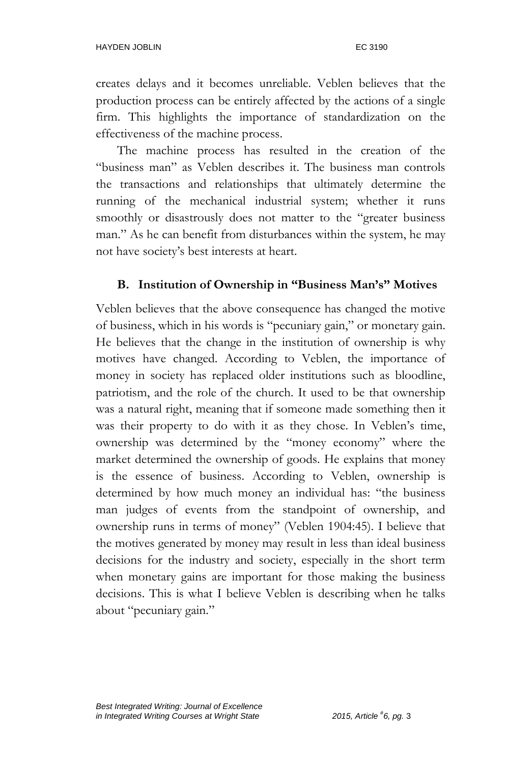creates delays and it becomes unreliable. Veblen believes that the production process can be entirely affected by the actions of a single firm. This highlights the importance of standardization on the effectiveness of the machine process.

The machine process has resulted in the creation of the "business man" as Veblen describes it. The business man controls the transactions and relationships that ultimately determine the running of the mechanical industrial system; whether it runs smoothly or disastrously does not matter to the "greater business man." As he can benefit from disturbances within the system, he may not have society's best interests at heart.

#### **B. Institution of Ownership in "Business Man's" Motives**

Veblen believes that the above consequence has changed the motive of business, which in his words is "pecuniary gain," or monetary gain. He believes that the change in the institution of ownership is why motives have changed. According to Veblen, the importance of money in society has replaced older institutions such as bloodline, patriotism, and the role of the church. It used to be that ownership was a natural right, meaning that if someone made something then it was their property to do with it as they chose. In Veblen's time, ownership was determined by the "money economy" where the market determined the ownership of goods. He explains that money is the essence of business. According to Veblen, ownership is determined by how much money an individual has: "the business man judges of events from the standpoint of ownership, and ownership runs in terms of money" (Veblen 1904:45). I believe that the motives generated by money may result in less than ideal business decisions for the industry and society, especially in the short term when monetary gains are important for those making the business decisions. This is what I believe Veblen is describing when he talks about "pecuniary gain."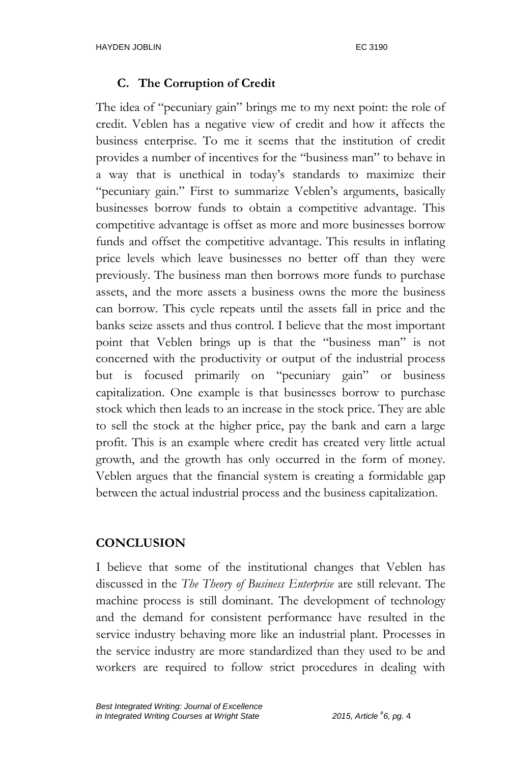#### **C. The Corruption of Credit**

The idea of "pecuniary gain" brings me to my next point: the role of credit. Veblen has a negative view of credit and how it affects the business enterprise. To me it seems that the institution of credit provides a number of incentives for the "business man" to behave in a way that is unethical in today's standards to maximize their "pecuniary gain." First to summarize Veblen's arguments, basically businesses borrow funds to obtain a competitive advantage. This competitive advantage is offset as more and more businesses borrow funds and offset the competitive advantage. This results in inflating price levels which leave businesses no better off than they were previously. The business man then borrows more funds to purchase assets, and the more assets a business owns the more the business can borrow. This cycle repeats until the assets fall in price and the banks seize assets and thus control. I believe that the most important point that Veblen brings up is that the "business man" is not concerned with the productivity or output of the industrial process but is focused primarily on "pecuniary gain" or business capitalization. One example is that businesses borrow to purchase stock which then leads to an increase in the stock price. They are able to sell the stock at the higher price, pay the bank and earn a large profit. This is an example where credit has created very little actual growth, and the growth has only occurred in the form of money. Veblen argues that the financial system is creating a formidable gap between the actual industrial process and the business capitalization.

#### **CONCLUSION**

I believe that some of the institutional changes that Veblen has discussed in the *The Theory of Business Enterprise* are still relevant. The machine process is still dominant. The development of technology and the demand for consistent performance have resulted in the service industry behaving more like an industrial plant. Processes in the service industry are more standardized than they used to be and workers are required to follow strict procedures in dealing with